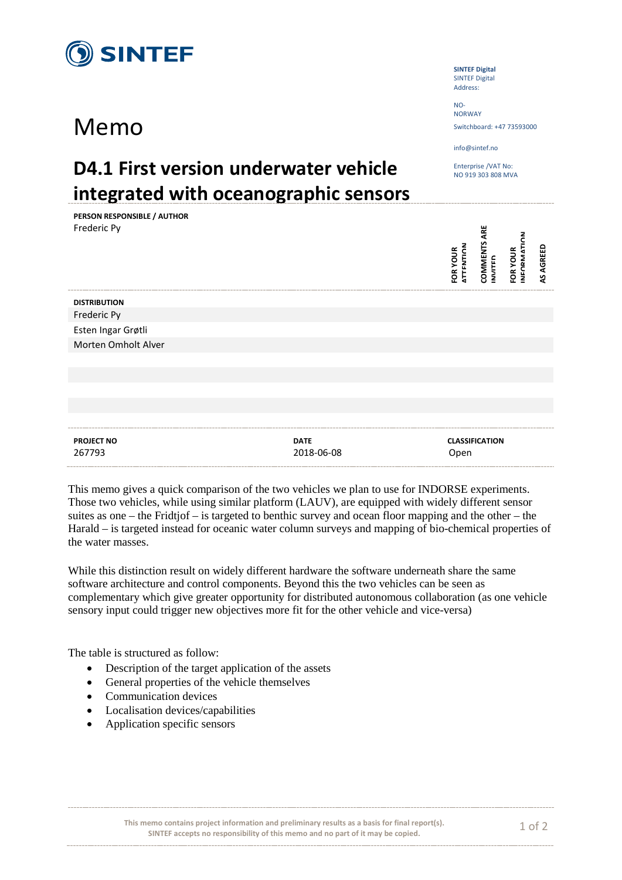

**PERSON RESPONSIBLE / AUTHOR**

## Memo

**SINTEF Digital** SINTEF Digital Address:

 $N<sub>0</sub>$ NORWAY Switchboard: +47 73593000

info@sintef.no

Enterprise /VAT No: NO 919 303 808 MVA

## **D4.1 First version underwater vehicle integrated with oceanographic sensors**

| PERSON RESPONSIBLE / AUTHOR<br>Frederic Py |                           | <b>ATTENTION</b><br>FOR YOUR | <b>COMMENTS ARE</b><br><b>INVITED</b> | ج<br><b>NEOPMATI</b><br>FOR YOUR | <b>AS AGREED</b> |
|--------------------------------------------|---------------------------|------------------------------|---------------------------------------|----------------------------------|------------------|
| <b>DISTRIBUTION</b>                        |                           |                              |                                       |                                  |                  |
| Frederic Py                                |                           |                              |                                       |                                  |                  |
| Esten Ingar Grøtli                         |                           |                              |                                       |                                  |                  |
| Morten Omholt Alver                        |                           |                              |                                       |                                  |                  |
|                                            |                           |                              |                                       |                                  |                  |
|                                            |                           |                              |                                       |                                  |                  |
|                                            |                           |                              |                                       |                                  |                  |
|                                            |                           |                              |                                       |                                  |                  |
|                                            |                           |                              |                                       |                                  |                  |
| <b>PROJECT NO</b><br>267793                | <b>DATE</b><br>2018-06-08 | Open                         | <b>CLASSIFICATION</b>                 |                                  |                  |

This memo gives a quick comparison of the two vehicles we plan to use for INDORSE experiments. Those two vehicles, while using similar platform (LAUV), are equipped with widely different sensor suites as one – the Fridtjof – is targeted to benthic survey and ocean floor mapping and the other – the Harald – is targeted instead for oceanic water column surveys and mapping of bio-chemical properties of the water masses.

While this distinction result on widely different hardware the software underneath share the same software architecture and control components. Beyond this the two vehicles can be seen as complementary which give greater opportunity for distributed autonomous collaboration (as one vehicle sensory input could trigger new objectives more fit for the other vehicle and vice-versa)

The table is structured as follow:

- Description of the target application of the assets
- General properties of the vehicle themselves
- Communication devices
- Localisation devices/capabilities
- Application specific sensors